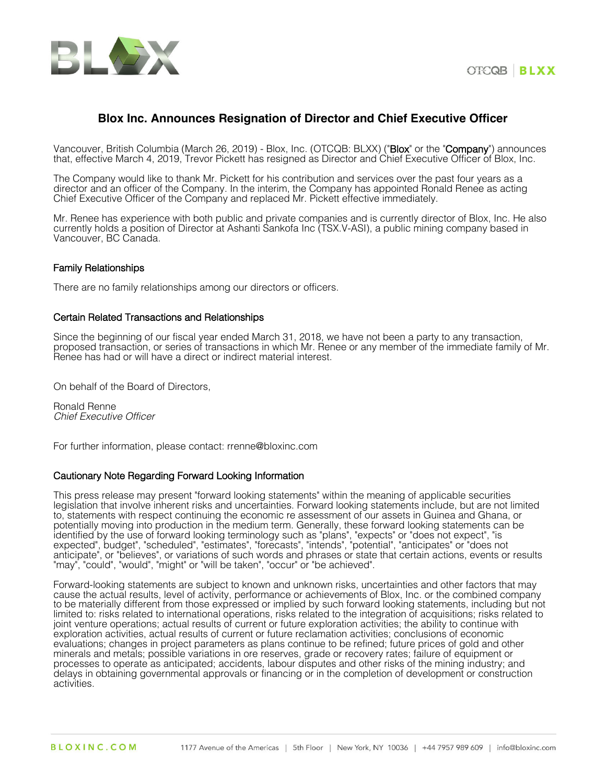



## **Blox Inc. Announces Resignation of Director and Chief Executive Officer**

Vancouver, British Columbia (March 26, 2019) - Blox, Inc. (OTCQB: BLXX) ("Blox" or the "Company") announces that, effective March 4, 2019, Trevor Pickett has resigned as Director and Chief Executive Officer of Blox, Inc.

The Company would like to thank Mr. Pickett for his contribution and services over the past four years as a director and an officer of the Company. In the interim, the Company has appointed Ronald Renee as acting Chief Executive Officer of the Company and replaced Mr. Pickett effective immediately.

Mr. Renee has experience with both public and private companies and is currently director of Blox, Inc. He also currently holds a position of Director at Ashanti Sankofa Inc (TSX.V-ASI), a public mining company based in Vancouver, BC Canada.

## Family Relationships

There are no family relationships among our directors or officers.

## Certain Related Transactions and Relationships

Since the beginning of our fiscal year ended March 31, 2018, we have not been a party to any transaction, proposed transaction, or series of transactions in which Mr. Renee or any member of the immediate family of Mr. Renee has had or will have a direct or indirect material interest.

On behalf of the Board of Directors,

Ronald Renne *Chief Executive Officer*

For further information, please contact: rrenne@bloxinc.com

## Cautionary Note Regarding Forward Looking Information

This press release may present "forward looking statements" within the meaning of applicable securities legislation that involve inherent risks and uncertainties. Forward looking statements include, but are not limited to, statements with respect continuing the economic re assessment of our assets in Guinea and Ghana, or potentially moving into production in the medium term. Generally, these forward looking statements can be identified by the use of forward looking terminology such as "plans", "expects" or "does not expect", "is expected", budget", "scheduled", "estimates", "forecasts", "intends", "potential", "anticipates" or "does not anticipate", or "believes", or variations of such words and phrases or state that certain actions, events or results "may", "could", "would", "might" or "will be taken", "occur" or "be achieved".

Forward-looking statements are subject to known and unknown risks, uncertainties and other factors that may cause the actual results, level of activity, performance or achievements of Blox, Inc. or the combined company to be materially different from those expressed or implied by such forward looking statements, including but not limited to: risks related to international operations, risks related to the integration of acquisitions; risks related to joint venture operations; actual results of current or future exploration activities; the ability to continue with exploration activities, actual results of current or future reclamation activities; conclusions of economic evaluations; changes in project parameters as plans continue to be refined; future prices of gold and other minerals and metals; possible variations in ore reserves, grade or recovery rates; failure of equipment or processes to operate as anticipated; accidents, labour disputes and other risks of the mining industry; and delays in obtaining governmental approvals or financing or in the completion of development or construction activities.